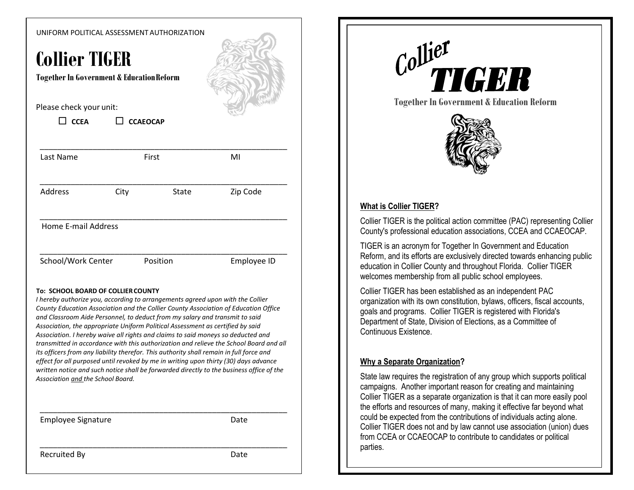#### UNIFORM POLITICAL ASSESSMENT AUTHORIZATION

# **Collier TIGER**

**Together In Government & EducationReform**

#### Please check your unit:

| $\Box$ CCEA | $\Box$ CCAEOCAP |  |
|-------------|-----------------|--|
|-------------|-----------------|--|

| Last Name           |      | First        | MI          |
|---------------------|------|--------------|-------------|
| Address             | City | <b>State</b> | Zip Code    |
| Home E-mail Address |      |              |             |
| School/Work Center  |      | Position     | Employee ID |

#### **To: SCHOOL BOARD OF COLLIERCOUNTY**

*I hereby authorize you, according to arrangements agreed upon with the Collier County Education Association and the Collier County Association of Education Office and Classroom Aide Personnel, to deduct from my salary and transmit to said Association, the appropriate Uniform Political Assessment as certified by said Association. I hereby waive all rights and claims to said moneys so deducted and transmitted in accordance with this authorization and relieve the School Board and all its officers from any liability therefor. This authority shall remain in full force and effect for all purposed until revoked by me in writing upon thirty (30) days advance written notice and such notice shall be forwarded directly to the business office of the Association and the School Board.*

\_\_\_\_\_\_\_\_\_\_\_\_\_\_\_\_\_\_\_\_\_\_\_\_\_\_\_\_\_\_\_\_\_\_\_\_\_\_\_\_\_\_\_\_\_\_\_\_\_\_\_\_\_\_\_\_

\_\_\_\_\_\_\_\_\_\_\_\_\_\_\_\_\_\_\_\_\_\_\_\_\_\_\_\_\_\_\_\_\_\_\_\_\_\_\_\_\_\_\_\_\_\_\_\_\_\_\_\_\_\_\_\_

Employee Signature **Date** Date



**Together In Government & Education Reform**



#### **What is Collier TIGER?**

Collier TIGER is the political action committee (PAC) representing Collier County's professional education associations, CCEA and CCAEOCAP.

TIGER is an acronym for Together In Government and Education Reform, and its efforts are exclusively directed towards enhancing public education in Collier County and throughout Florida. Collier TIGER welcomes membership from all public school employees.

Collier TIGER has been established as an independent PAC organization with its own constitution, bylaws, officers, fiscal accounts, goals and programs. Collier TIGER is registered with Florida's Department of State, Division of Elections, as a Committee of Continuous Existence.

#### **Why a Separate Organization?**

State law requires the registration of any group which supports political campaigns. Another important reason for creating and maintaining Collier TIGER as a separate organization is that it can more easily pool the efforts and resources of many, making it effective far beyond what could be expected from the contributions of individuals acting alone. Collier TIGER does not and by law cannot use association (union) dues from CCEA or CCAEOCAP to contribute to candidates or political parties.

Recruited By **Date**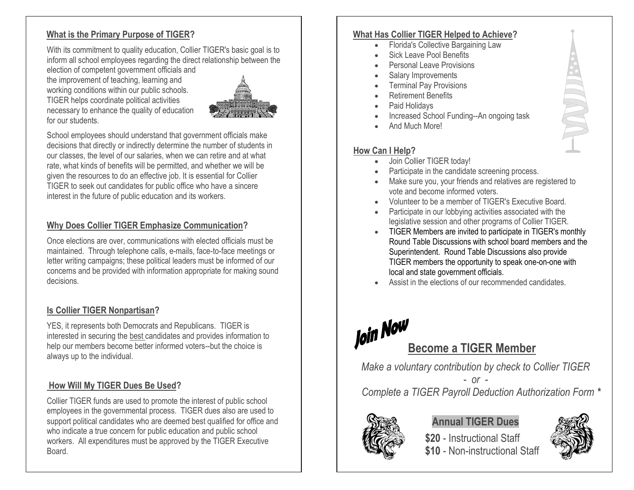## **What is the Primary Purpose of TIGER?**

With its commitment to quality education, Collier TIGER's basic goal is to inform all school employees regarding the direct relationship between the

election of competent government officials and the improvement of teaching, learning and working conditions within our public schools. TIGER helps coordinate political activities necessary to enhance the quality of education for our students.



School employees should understand that government officials make decisions that directly or indirectly determine the number of students in our classes, the level of our salaries, when we can retire and at what rate, what kinds of benefits will be permitted, and whether we will be given the resources to do an effective job. It is essential for Collier TIGER to seek out candidates for public office who have a sincere interest in the future of public education and its workers.

## **Why Does Collier TIGER Emphasize Communication?**

Once elections are over, communications with elected officials must be maintained. Through telephone calls, e-mails, face-to-face meetings or letter writing campaigns; these political leaders must be informed of our concerns and be provided with information appropriate for making sound decisions.

#### **Is Collier TIGER Nonpartisan?**

YES, it represents both Democrats and Republicans. TIGER is interested in securing the best candidates and provides information to help our members become better informed voters--but the choice is always up to the individual.

# **How Will My TIGER Dues Be Used?**

Collier TIGER funds are used to promote the interest of public school employees in the governmental process. TIGER dues also are used to support political candidates who are deemed best qualified for office and who indicate a true concern for public education and public school workers. All expenditures must be approved by the TIGER Executive Board.

#### **What Has Collier TIGER Helped to Achieve?**

- Florida's Collective Bargaining Law
- Sick Leave Pool Benefits
- Personal Leave Provisions
- Salary Improvements
- **Terminal Pay Provisions**
- Retirement Benefits
- Paid Holidays
- Increased School Funding--An ongoing task
- And Much More!

## **How Can I Help?**

- Join Collier TIGER today!
- Participate in the candidate screening process.
- Make sure you, your friends and relatives are registered to vote and become informed voters.
- Volunteer to be a member of TIGER's Executive Board.
- Participate in our lobbying activities associated with the legislative session and other programs of Collier TIGER.
- TIGER Members are invited to participate in TIGER's monthly Round Table Discussions with school board members and the Superintendent. Round Table Discussions also provide TIGER members the opportunity to speak one-on-one with local and state government officials.
- Assist in the elections of our recommended candidates



*Make a voluntary contribution by check to Collier TIGER*

*- or - Complete a TIGER Payroll Deduction Authorization Form \**



# **Annual TIGER Dues**

**\$20** - Instructional Staff \$10 - Non-instructional Staff